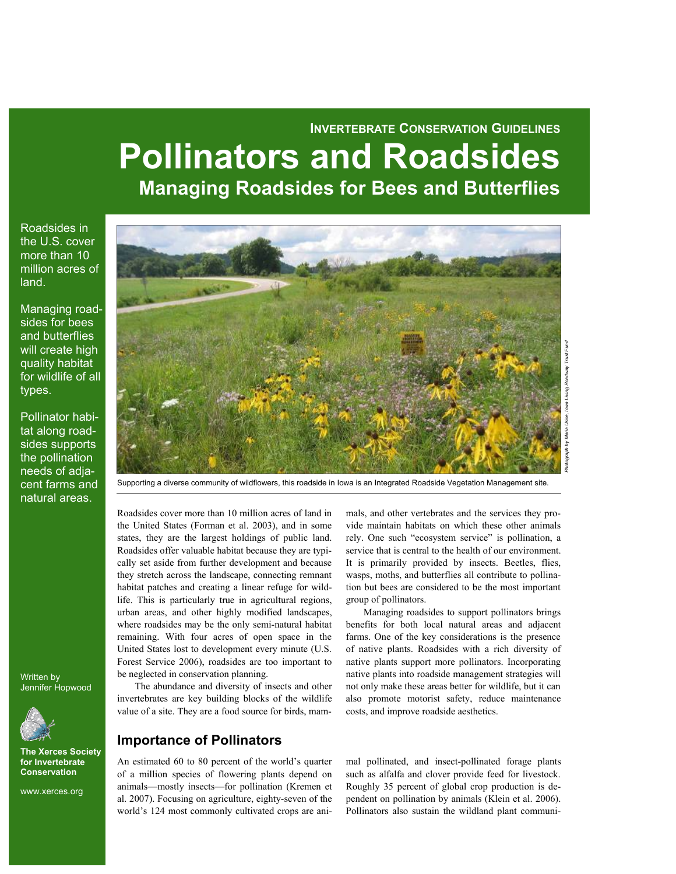# **INVERTEBRATE CONSERVATION GUIDELINES Pollinators and Roadsides Managing Roadsides for Bees and Butterflies**

Roadsides in the U.S. cover more than 10 million acres of  $land.$ 

Managing roadsides for bees and butterflies will create high quality habitat for wildlife of all types.

Pollinator habitat along roadsides supports the pollination needs of adjacent farms and natural areas.



Supporting a diverse community of wildflowers, this roadside in Iowa is an Integrated Roadside Vegetation Management site.

Roadsides cover more than 10 million acres of land in the United States (Forman et al. 2003), and in some states, they are the largest holdings of public land. Roadsides offer valuable habitat because they are typically set aside from further development and because they stretch across the landscape, connecting remnant habitat patches and creating a linear refuge for wildlife. This is particularly true in agricultural regions, urban areas, and other highly modified landscapes, where roadsides may be the only semi-natural habitat remaining. With four acres of open space in the United States lost to development every minute (U.S. Forest Service 2006), roadsides are too important to be neglected in conservation planning.

The abundance and diversity of insects and other invertebrates are key building blocks of the wildlife value of a site. They are a food source for birds, mam-

### **Importance of Pollinators**

An estimated 60 to 80 percent of the world's quarter of a million species of flowering plants depend on animals—mostly insects—for pollination (Kremen et al. 2007). Focusing on agriculture, eighty-seven of the world's 124 most commonly cultivated crops are animals, and other vertebrates and the services they provide maintain habitats on which these other animals rely. One such "ecosystem service" is pollination, a service that is central to the health of our environment. It is primarily provided by insects. Beetles, flies, wasps, moths, and butterflies all contribute to pollination but bees are considered to be the most important group of pollinators.

Managing roadsides to support pollinators brings benefits for both local natural areas and adjacent farms. One of the key considerations is the presence of native plants. Roadsides with a rich diversity of native plants support more pollinators. Incorporating native plants into roadside management strategies will not only make these areas better for wildlife, but it can also promote motorist safety, reduce maintenance costs, and improve roadside aesthetics.

mal pollinated, and insect-pollinated forage plants such as alfalfa and clover provide feed for livestock. Roughly 35 percent of global crop production is dependent on pollination by animals (Klein et al. 2006). Pollinators also sustain the wildland plant communi-

Written by Jennifer Hopwood



**The Xerces Society for Invertebrate Conservation** 

www.xerces.org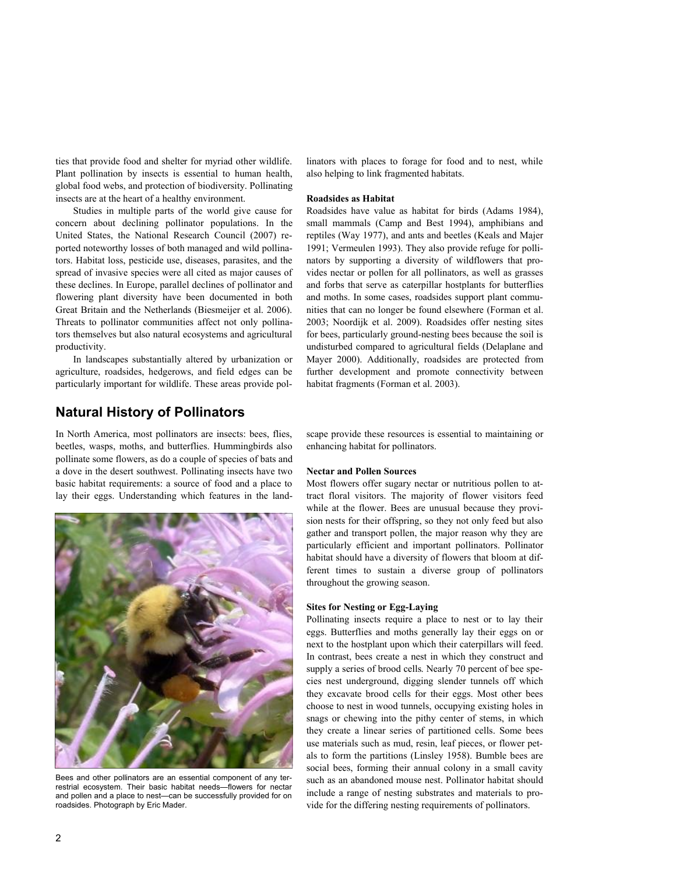ties that provide food and shelter for myriad other wildlife. Plant pollination by insects is essential to human health, global food webs, and protection of biodiversity. Pollinating insects are at the heart of a healthy environment.

Studies in multiple parts of the world give cause for concern about declining pollinator populations. In the United States, the National Research Council (2007) reported noteworthy losses of both managed and wild pollinators. Habitat loss, pesticide use, diseases, parasites, and the spread of invasive species were all cited as major causes of these declines. In Europe, parallel declines of pollinator and flowering plant diversity have been documented in both Great Britain and the Netherlands (Biesmeijer et al. 2006). Threats to pollinator communities affect not only pollinators themselves but also natural ecosystems and agricultural productivity.

In landscapes substantially altered by urbanization or agriculture, roadsides, hedgerows, and field edges can be particularly important for wildlife. These areas provide pollinators with places to forage for food and to nest, while also helping to link fragmented habitats.

#### **Roadsides as Habitat**

Roadsides have value as habitat for birds (Adams 1984), small mammals (Camp and Best 1994), amphibians and reptiles (Way 1977), and ants and beetles (Keals and Majer 1991; Vermeulen 1993). They also provide refuge for pollinators by supporting a diversity of wildflowers that provides nectar or pollen for all pollinators, as well as grasses and forbs that serve as caterpillar hostplants for butterflies and moths. In some cases, roadsides support plant communities that can no longer be found elsewhere (Forman et al. 2003; Noordijk et al. 2009). Roadsides offer nesting sites for bees, particularly ground-nesting bees because the soil is undisturbed compared to agricultural fields (Delaplane and Mayer 2000). Additionally, roadsides are protected from further development and promote connectivity between habitat fragments (Forman et al. 2003).

### **Natural History of Pollinators**

In North America, most pollinators are insects: bees, flies, beetles, wasps, moths, and butterflies. Hummingbirds also pollinate some flowers, as do a couple of species of bats and a dove in the desert southwest. Pollinating insects have two basic habitat requirements: a source of food and a place to lay their eggs. Understanding which features in the land-



Bees and other pollinators are an essential component of any terrestrial ecosystem. Their basic habitat needs-flowers for nectar and pollen and a place to nest-can be successfully provided for on roadsides. Photograph by Eric Mader.

scape provide these resources is essential to maintaining or enhancing habitat for pollinators.

#### **Nectar and Pollen Sources**

Most flowers offer sugary nectar or nutritious pollen to attract floral visitors. The majority of flower visitors feed while at the flower. Bees are unusual because they provision nests for their offspring, so they not only feed but also gather and transport pollen, the major reason why they are particularly efficient and important pollinators. Pollinator habitat should have a diversity of flowers that bloom at different times to sustain a diverse group of pollinators throughout the growing season.

### **Sites for Nesting or Egg-Laying**

Pollinating insects require a place to nest or to lay their eggs. Butterflies and moths generally lay their eggs on or next to the hostplant upon which their caterpillars will feed. In contrast, bees create a nest in which they construct and supply a series of brood cells. Nearly 70 percent of bee species nest underground, digging slender tunnels off which they excavate brood cells for their eggs. Most other bees choose to nest in wood tunnels, occupying existing holes in snags or chewing into the pithy center of stems, in which they create a linear series of partitioned cells. Some bees use materials such as mud, resin, leaf pieces, or flower petals to form the partitions (Linsley 1958). Bumble bees are social bees, forming their annual colony in a small cavity such as an abandoned mouse nest. Pollinator habitat should include a range of nesting substrates and materials to provide for the differing nesting requirements of pollinators.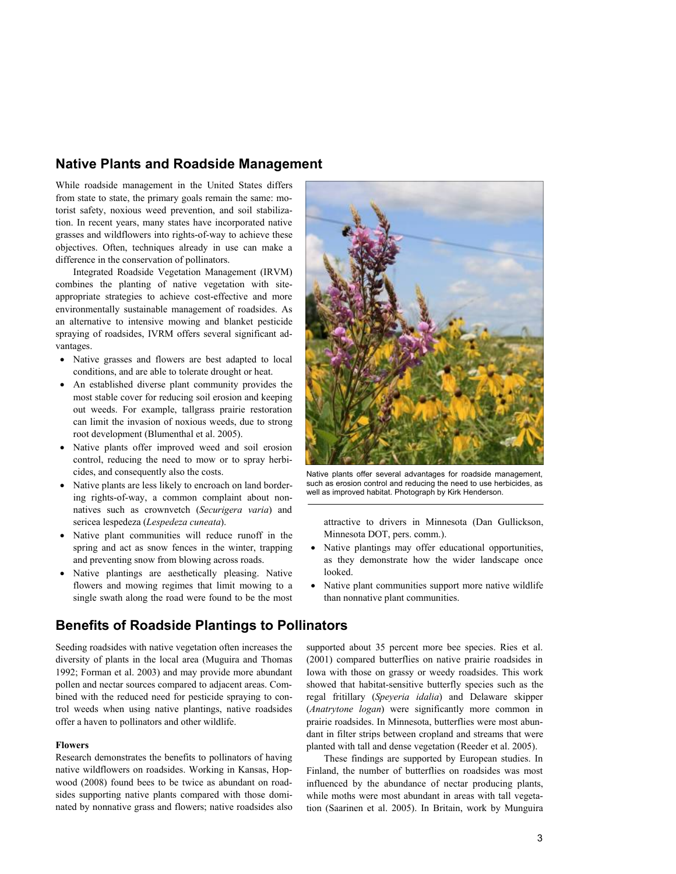### **Native Plants and Roadside Management**

While roadside management in the United States differs from state to state, the primary goals remain the same: motorist safety, noxious weed prevention, and soil stabilization. In recent years, many states have incorporated native grasses and wildflowers into rights-of-way to achieve these objectives. Often, techniques already in use can make a difference in the conservation of pollinators.

Integrated Roadside Vegetation Management (IRVM) combines the planting of native vegetation with siteappropriate strategies to achieve cost-effective and more environmentally sustainable management of roadsides. As an alternative to intensive mowing and blanket pesticide spraying of roadsides, IVRM offers several significant advantages.

- Native grasses and flowers are best adapted to local conditions, and are able to tolerate drought or heat.
- An established diverse plant community provides the most stable cover for reducing soil erosion and keeping out weeds. For example, tallgrass prairie restoration can limit the invasion of noxious weeds, due to strong root development (Blumenthal et al. 2005).
- Native plants offer improved weed and soil erosion control, reducing the need to mow or to spray herbicides, and consequently also the costs.
- !" Native plants are less likely to encroach on land bordering rights-of-way, a common complaint about nonnatives such as crownvetch (*Securigera varia*) and sericea lespedeza (*Lespedeza cuneata*).
- !" Native plant communities will reduce runoff in the spring and act as snow fences in the winter, trapping and preventing snow from blowing across roads.
- Native plantings are aesthetically pleasing. Native flowers and mowing regimes that limit mowing to a single swath along the road were found to be the most

## **Benefits of Roadside Plantings to Pollinators**

Seeding roadsides with native vegetation often increases the diversity of plants in the local area (Muguira and Thomas 1992; Forman et al. 2003) and may provide more abundant pollen and nectar sources compared to adjacent areas. Combined with the reduced need for pesticide spraying to control weeds when using native plantings, native roadsides offer a haven to pollinators and other wildlife.

#### **Flowers**

Research demonstrates the benefits to pollinators of having native wildflowers on roadsides. Working in Kansas, Hopwood (2008) found bees to be twice as abundant on roadsides supporting native plants compared with those dominated by nonnative grass and flowers; native roadsides also



Native plants offer several advantages for roadside management, such as erosion control and reducing the need to use herbicides, as well as improved habitat. Photograph by Kirk Henderson.

attractive to drivers in Minnesota (Dan Gullickson, Minnesota DOT, pers. comm.).

- Native plantings may offer educational opportunities, as they demonstrate how the wider landscape once looked.
- Native plant communities support more native wildlife than nonnative plant communities.

supported about 35 percent more bee species. Ries et al. (2001) compared butterflies on native prairie roadsides in Iowa with those on grassy or weedy roadsides. This work showed that habitat-sensitive butterfly species such as the regal fritillary (*Speyeria idalia*) and Delaware skipper (*Anatrytone logan*) were significantly more common in prairie roadsides. In Minnesota, butterflies were most abundant in filter strips between cropland and streams that were planted with tall and dense vegetation (Reeder et al. 2005).

These findings are supported by European studies. In Finland, the number of butterflies on roadsides was most influenced by the abundance of nectar producing plants, while moths were most abundant in areas with tall vegetation (Saarinen et al. 2005). In Britain, work by Munguira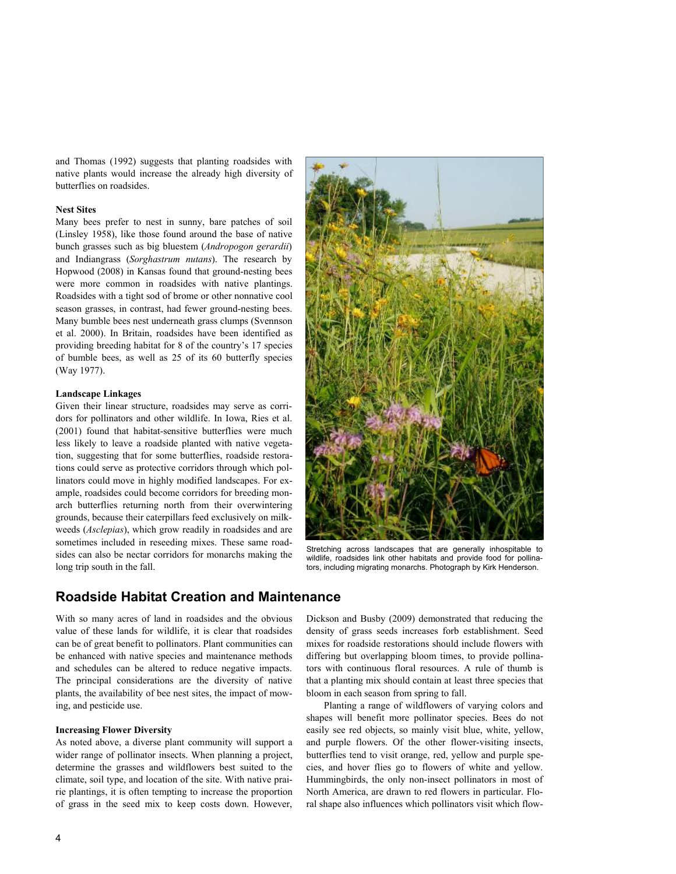and Thomas (1992) suggests that planting roadsides with native plants would increase the already high diversity of butterflies on roadsides.

#### **Nest Sites**

Many bees prefer to nest in sunny, bare patches of soil (Linsley 1958), like those found around the base of native bunch grasses such as big bluestem (*Andropogon gerardii*) and Indiangrass (*Sorghastrum nutans*). The research by Hopwood (2008) in Kansas found that ground-nesting bees were more common in roadsides with native plantings. Roadsides with a tight sod of brome or other nonnative cool season grasses, in contrast, had fewer ground-nesting bees. Many bumble bees nest underneath grass clumps (Svennson et al. 2000). In Britain, roadsides have been identified as providing breeding habitat for 8 of the country's 17 species of bumble bees, as well as 25 of its 60 butterfly species (Way 1977).

### **Landscape Linkages**

Given their linear structure, roadsides may serve as corridors for pollinators and other wildlife. In Iowa, Ries et al. (2001) found that habitat-sensitive butterflies were much less likely to leave a roadside planted with native vegetation, suggesting that for some butterflies, roadside restorations could serve as protective corridors through which pollinators could move in highly modified landscapes. For example, roadsides could become corridors for breeding monarch butterflies returning north from their overwintering grounds, because their caterpillars feed exclusively on milkweeds (*Asclepias*), which grow readily in roadsides and are sometimes included in reseeding mixes. These same roadsides can also be nectar corridors for monarchs making the long trip south in the fall.



Stretching across landscapes that are generally inhospitable to wildlife, roadsides link other habitats and provide food for pollinators, including migrating monarchs. Photograph by Kirk Henderson.

### **Roadside Habitat Creation and Maintenance**

With so many acres of land in roadsides and the obvious value of these lands for wildlife, it is clear that roadsides can be of great benefit to pollinators. Plant communities can be enhanced with native species and maintenance methods and schedules can be altered to reduce negative impacts. The principal considerations are the diversity of native plants, the availability of bee nest sites, the impact of mowing, and pesticide use.

#### **Increasing Flower Diversity**

As noted above, a diverse plant community will support a wider range of pollinator insects. When planning a project, determine the grasses and wildflowers best suited to the climate, soil type, and location of the site. With native prairie plantings, it is often tempting to increase the proportion of grass in the seed mix to keep costs down. However, Dickson and Busby (2009) demonstrated that reducing the density of grass seeds increases forb establishment. Seed mixes for roadside restorations should include flowers with differing but overlapping bloom times, to provide pollinators with continuous floral resources. A rule of thumb is that a planting mix should contain at least three species that bloom in each season from spring to fall.

Planting a range of wildflowers of varying colors and shapes will benefit more pollinator species. Bees do not easily see red objects, so mainly visit blue, white, yellow, and purple flowers. Of the other flower-visiting insects, butterflies tend to visit orange, red, yellow and purple species, and hover flies go to flowers of white and yellow. Hummingbirds, the only non-insect pollinators in most of North America, are drawn to red flowers in particular. Floral shape also influences which pollinators visit which flow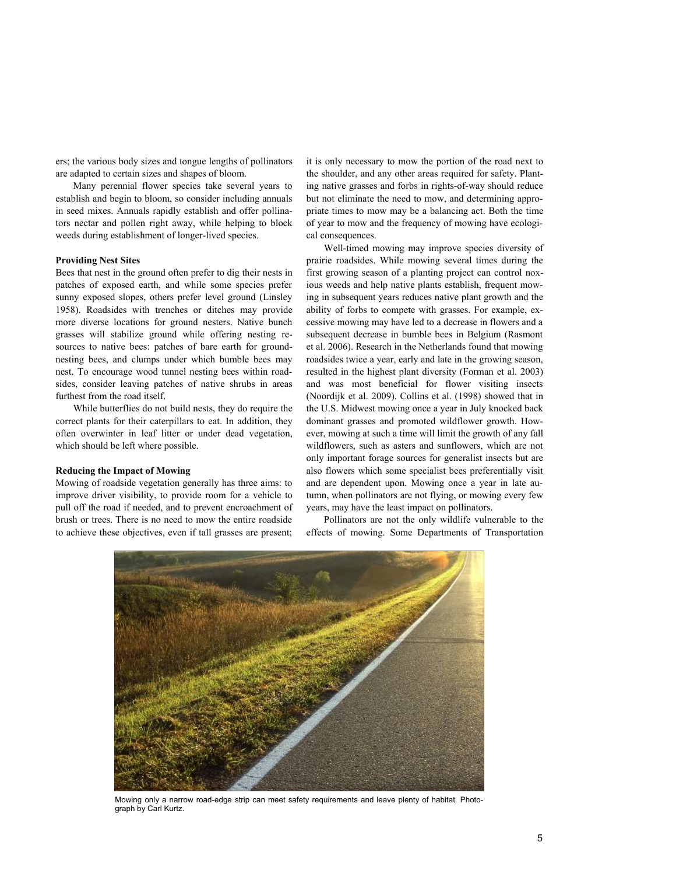ers; the various body sizes and tongue lengths of pollinators are adapted to certain sizes and shapes of bloom.

Many perennial flower species take several years to establish and begin to bloom, so consider including annuals in seed mixes. Annuals rapidly establish and offer pollinators nectar and pollen right away, while helping to block weeds during establishment of longer-lived species.

#### **Providing Nest Sites**

Bees that nest in the ground often prefer to dig their nests in patches of exposed earth, and while some species prefer sunny exposed slopes, others prefer level ground (Linsley 1958). Roadsides with trenches or ditches may provide more diverse locations for ground nesters. Native bunch grasses will stabilize ground while offering nesting resources to native bees: patches of bare earth for groundnesting bees, and clumps under which bumble bees may nest. To encourage wood tunnel nesting bees within roadsides, consider leaving patches of native shrubs in areas furthest from the road itself.

While butterflies do not build nests, they do require the correct plants for their caterpillars to eat. In addition, they often overwinter in leaf litter or under dead vegetation, which should be left where possible.

#### **Reducing the Impact of Mowing**

Mowing of roadside vegetation generally has three aims: to improve driver visibility, to provide room for a vehicle to pull off the road if needed, and to prevent encroachment of brush or trees. There is no need to mow the entire roadside to achieve these objectives, even if tall grasses are present;

it is only necessary to mow the portion of the road next to the shoulder, and any other areas required for safety. Planting native grasses and forbs in rights-of-way should reduce but not eliminate the need to mow, and determining appropriate times to mow may be a balancing act. Both the time of year to mow and the frequency of mowing have ecological consequences.

Well-timed mowing may improve species diversity of prairie roadsides. While mowing several times during the first growing season of a planting project can control noxious weeds and help native plants establish, frequent mowing in subsequent years reduces native plant growth and the ability of forbs to compete with grasses. For example, excessive mowing may have led to a decrease in flowers and a subsequent decrease in bumble bees in Belgium (Rasmont et al. 2006). Research in the Netherlands found that mowing roadsides twice a year, early and late in the growing season, resulted in the highest plant diversity (Forman et al. 2003) and was most beneficial for flower visiting insects (Noordijk et al. 2009). Collins et al. (1998) showed that in the U.S. Midwest mowing once a year in July knocked back dominant grasses and promoted wildflower growth. However, mowing at such a time will limit the growth of any fall wildflowers, such as asters and sunflowers, which are not only important forage sources for generalist insects but are also flowers which some specialist bees preferentially visit and are dependent upon. Mowing once a year in late autumn, when pollinators are not flying, or mowing every few years, may have the least impact on pollinators.

Pollinators are not the only wildlife vulnerable to the effects of mowing. Some Departments of Transportation



Mowing only a narrow road-edge strip can meet safety requirements and leave plenty of habitat. Photograph by Carl Kurtz.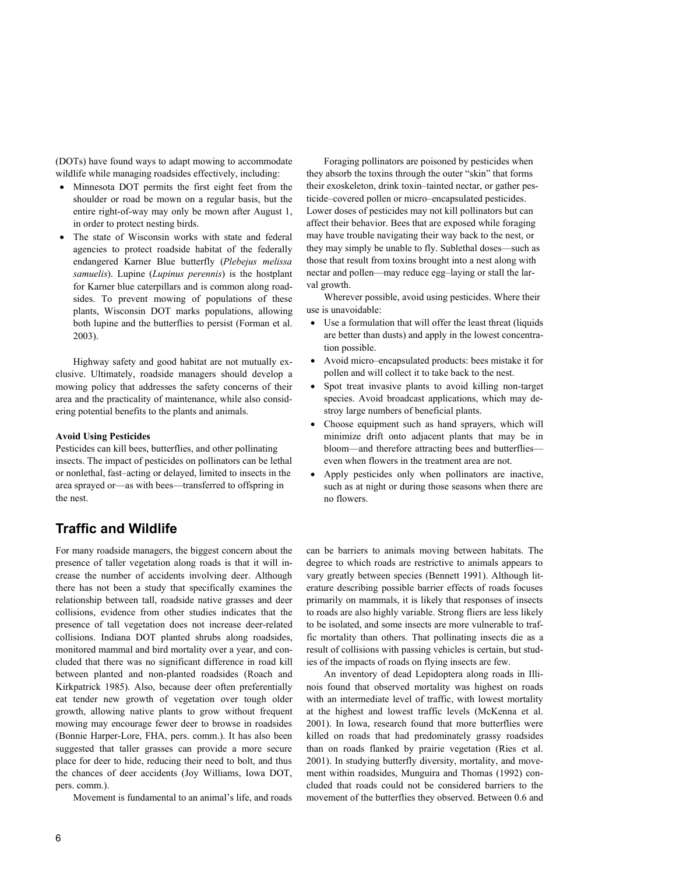(DOTs) have found ways to adapt mowing to accommodate wildlife while managing roadsides effectively, including:

- Minnesota DOT permits the first eight feet from the shoulder or road be mown on a regular basis, but the entire right-of-way may only be mown after August 1, in order to protect nesting birds.
- The state of Wisconsin works with state and federal agencies to protect roadside habitat of the federally endangered Karner Blue butterfly (*Plebejus melissa samuelis*). Lupine (*Lupinus perennis*) is the hostplant for Karner blue caterpillars and is common along roadsides. To prevent mowing of populations of these plants, Wisconsin DOT marks populations, allowing both lupine and the butterflies to persist (Forman et al. 2003).

Highway safety and good habitat are not mutually exclusive. Ultimately, roadside managers should develop a mowing policy that addresses the safety concerns of their area and the practicality of maintenance, while also considering potential benefits to the plants and animals.

### **Avoid Using Pesticides**

Pesticides can kill bees, butterflies, and other pollinating insects. The impact of pesticides on pollinators can be lethal or nonlethal, fast–acting or delayed, limited to insects in the area sprayed or—as with bees—transferred to offspring in the nest.

### **Traffic and Wildlife**

For many roadside managers, the biggest concern about the presence of taller vegetation along roads is that it will increase the number of accidents involving deer. Although there has not been a study that specifically examines the relationship between tall, roadside native grasses and deer collisions, evidence from other studies indicates that the presence of tall vegetation does not increase deer-related collisions. Indiana DOT planted shrubs along roadsides, monitored mammal and bird mortality over a year, and concluded that there was no significant difference in road kill between planted and non-planted roadsides (Roach and Kirkpatrick 1985). Also, because deer often preferentially eat tender new growth of vegetation over tough older growth, allowing native plants to grow without frequent mowing may encourage fewer deer to browse in roadsides (Bonnie Harper-Lore, FHA, pers. comm.). It has also been suggested that taller grasses can provide a more secure place for deer to hide, reducing their need to bolt, and thus the chances of deer accidents (Joy Williams, Iowa DOT, pers. comm.).

Movement is fundamental to an animal's life, and roads

Foraging pollinators are poisoned by pesticides when they absorb the toxins through the outer "skin" that forms their exoskeleton, drink toxin–tainted nectar, or gather pesticide–covered pollen or micro–encapsulated pesticides. Lower doses of pesticides may not kill pollinators but can affect their behavior. Bees that are exposed while foraging may have trouble navigating their way back to the nest, or they may simply be unable to fly. Sublethal doses—such as those that result from toxins brought into a nest along with nectar and pollen—may reduce egg–laying or stall the larval growth.

Wherever possible, avoid using pesticides. Where their use is unavoidable:

- Use a formulation that will offer the least threat (liquids are better than dusts) and apply in the lowest concentration possible.
- !" Avoid micro–encapsulated products: bees mistake it for pollen and will collect it to take back to the nest.
- !" Spot treat invasive plants to avoid killing non-target species. Avoid broadcast applications, which may destroy large numbers of beneficial plants.
- !" Choose equipment such as hand sprayers, which will minimize drift onto adjacent plants that may be in bloom—and therefore attracting bees and butterflies even when flowers in the treatment area are not.
- !" Apply pesticides only when pollinators are inactive, such as at night or during those seasons when there are no flowers.

can be barriers to animals moving between habitats. The degree to which roads are restrictive to animals appears to vary greatly between species (Bennett 1991). Although literature describing possible barrier effects of roads focuses primarily on mammals, it is likely that responses of insects to roads are also highly variable. Strong fliers are less likely to be isolated, and some insects are more vulnerable to traffic mortality than others. That pollinating insects die as a result of collisions with passing vehicles is certain, but studies of the impacts of roads on flying insects are few.

An inventory of dead Lepidoptera along roads in Illinois found that observed mortality was highest on roads with an intermediate level of traffic, with lowest mortality at the highest and lowest traffic levels (McKenna et al. 2001). In Iowa, research found that more butterflies were killed on roads that had predominately grassy roadsides than on roads flanked by prairie vegetation (Ries et al. 2001). In studying butterfly diversity, mortality, and movement within roadsides, Munguira and Thomas (1992) concluded that roads could not be considered barriers to the movement of the butterflies they observed. Between 0.6 and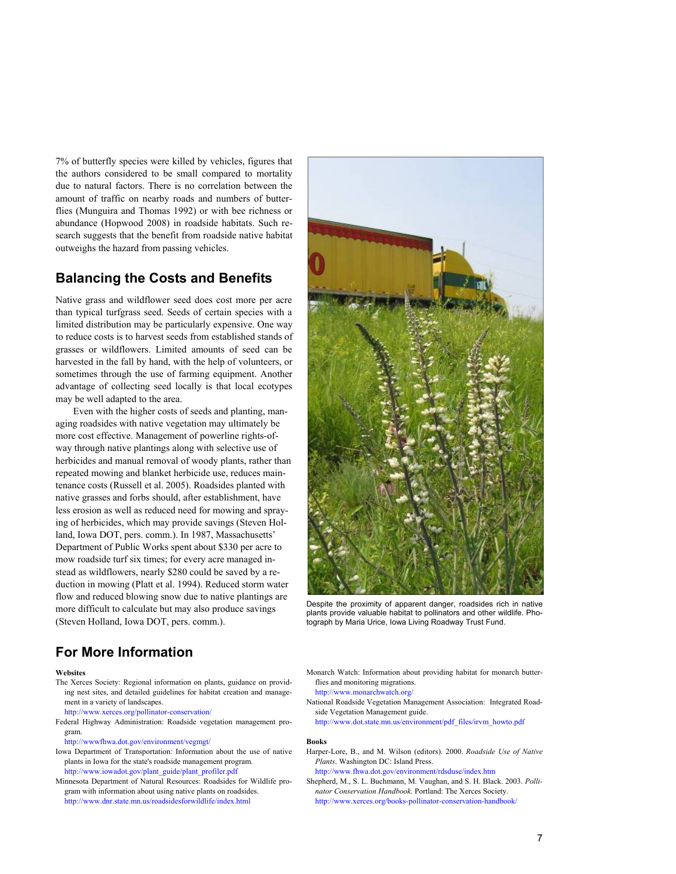7% of butterfly species were killed by vehicles, figures that the authors considered to be small compared to mortality due to natural factors. There is no correlation between the amount of traffic on nearby roads and numbers of butterflies (Munguira and Thomas 1992) or with bee richness or abundance (Hopwood 2008) in roadside habitats. Such research suggests that the benefit from roadside native habitat outweighs the hazard from passing vehicles.

### **Balancing the Costs and Benefits**

Native grass and wildflower seed does cost more per acre than typical turfgrass seed. Seeds of certain species with a limited distribution may be particularly expensive. One way to reduce costs is to harvest seeds from established stands of grasses or wildflowers. Limited amounts of seed can be harvested in the fall by hand, with the help of volunteers, or sometimes through the use of farming equipment. Another advantage of collecting seed locally is that local ecotypes may be well adapted to the area.

Even with the higher costs of seeds and planting, managing roadsides with native vegetation may ultimately be more cost effective. Management of powerline rights-ofway through native plantings along with selective use of herbicides and manual removal of woody plants, rather than repeated mowing and blanket herbicide use, reduces maintenance costs (Russell et al. 2005). Roadsides planted with native grasses and forbs should, after establishment, have less erosion as well as reduced need for mowing and spraying of herbicides, which may provide savings (Steven Holland, Iowa DOT, pers. comm.). In 1987, Massachusetts' Department of Public Works spent about \$330 per acre to mow roadside turf six times; for every acre managed instead as wildflowers, nearly \$280 could be saved by a reduction in mowing (Platt et al. 1994). Reduced storm water flow and reduced blowing snow due to native plantings are more difficult to calculate but may also produce savings (Steven Holland, Iowa DOT, pers. comm.).



Despite the proximity of apparent danger, roadsides rich in native plants provide valuable habitat to pollinators and other wildlife. Photograph by Maria Urice, Iowa Living Roadway Trust Fund.

### **For More Information**

**Websites** 

The Xerces Society: Regional information on plants, guidance on providing nest sites, and detailed guidelines for habitat creation and management in a variety of landscapes.

http://www.xerces.org/pollinator-conservation/

- Federal Highway Administration: Roadside vegetation management program.
- http://wwwfhwa.dot.gov/environment/vegmgt/
- Iowa Department of Transportation: Information about the use of native plants in Iowa for the state's roadside management program. http://www.iowadot.gov/plant\_guide/plant\_profiler.pdf
- Minnesota Department of Natural Resources: Roadsides for Wildlife program with information about using native plants on roadsides. http://www.dnr.state.mn.us/roadsidesforwildlife/index.html

Monarch Watch: Information about providing habitat for monarch butterflies and monitoring migrations.

http://www.monarchwatch.org/

National Roadside Vegetation Management Association: Integrated Roadside Vegetation Management guide.

http://www.dot.state.mn.us/environment/pdf\_files/irvm\_howto.pdf

#### **Books**

Harper-Lore, B., and M. Wilson (editors). 2000. *Roadside Use of Native Plants*. Washington DC: Island Press.

http://www.fhwa.dot.gov/environment/rdsduse/index.htm

Shepherd, M., S. L. Buchmann, M. Vaughan, and S. H. Black. 2003. *Pollinator Conservation Handbook*. Portland: The Xerces Society. http://www.xerces.org/books-pollinator-conservation-handbook/